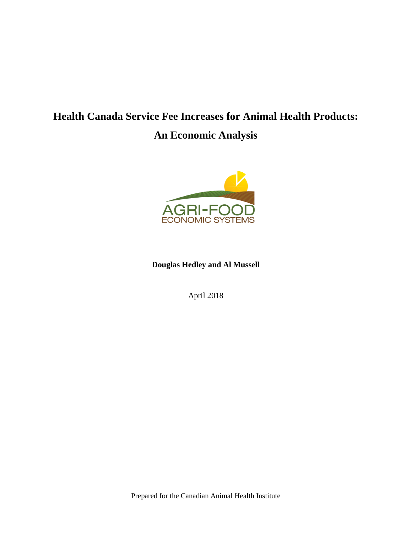# **Health Canada Service Fee Increases for Animal Health Products:**

# **An Economic Analysis**



**Douglas Hedley and Al Mussell**

April 2018

Prepared for the Canadian Animal Health Institute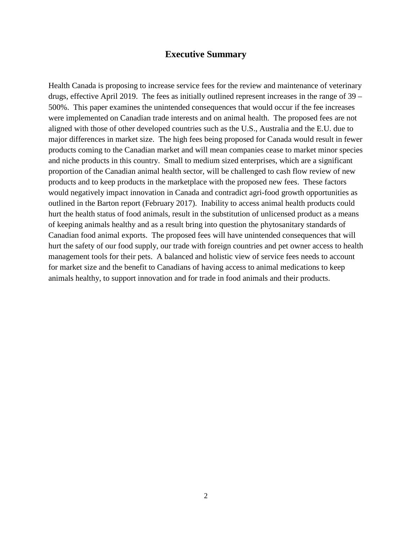#### **Executive Summary**

Health Canada is proposing to increase service fees for the review and maintenance of veterinary drugs, effective April 2019. The fees as initially outlined represent increases in the range of 39 – 500%. This paper examines the unintended consequences that would occur if the fee increases were implemented on Canadian trade interests and on animal health. The proposed fees are not aligned with those of other developed countries such as the U.S., Australia and the E.U. due to major differences in market size. The high fees being proposed for Canada would result in fewer products coming to the Canadian market and will mean companies cease to market minor species and niche products in this country. Small to medium sized enterprises, which are a significant proportion of the Canadian animal health sector, will be challenged to cash flow review of new products and to keep products in the marketplace with the proposed new fees. These factors would negatively impact innovation in Canada and contradict agri-food growth opportunities as outlined in the Barton report (February 2017). Inability to access animal health products could hurt the health status of food animals, result in the substitution of unlicensed product as a means of keeping animals healthy and as a result bring into question the phytosanitary standards of Canadian food animal exports. The proposed fees will have unintended consequences that will hurt the safety of our food supply, our trade with foreign countries and pet owner access to health management tools for their pets. A balanced and holistic view of service fees needs to account for market size and the benefit to Canadians of having access to animal medications to keep animals healthy, to support innovation and for trade in food animals and their products.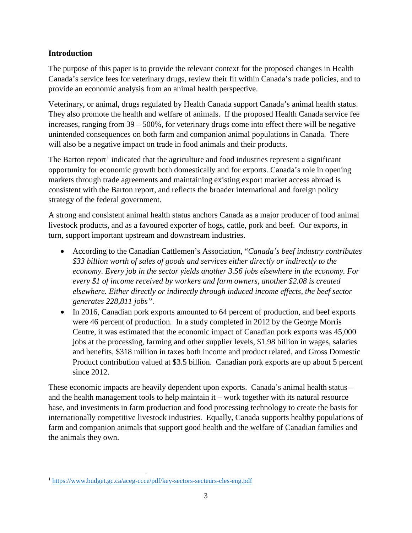#### **Introduction**

The purpose of this paper is to provide the relevant context for the proposed changes in Health Canada's service fees for veterinary drugs, review their fit within Canada's trade policies, and to provide an economic analysis from an animal health perspective.

Veterinary, or animal, drugs regulated by Health Canada support Canada's animal health status. They also promote the health and welfare of animals. If the proposed Health Canada service fee increases, ranging from 39 – 500%, for veterinary drugs come into effect there will be negative unintended consequences on both farm and companion animal populations in Canada. There will also be a negative impact on trade in food animals and their products.

The Barton report<sup>[1](#page-2-0)</sup> indicated that the agriculture and food industries represent a significant opportunity for economic growth both domestically and for exports. Canada's role in opening markets through trade agreements and maintaining existing export market access abroad is consistent with the Barton report, and reflects the broader international and foreign policy strategy of the federal government.

A strong and consistent animal health status anchors Canada as a major producer of food animal livestock products, and as a favoured exporter of hogs, cattle, pork and beef. Our exports, in turn, support important upstream and downstream industries.

- According to the Canadian Cattlemen's Association, "*Canada's beef industry contributes \$33 billion worth of sales of goods and services either directly or indirectly to the economy. Every job in the sector yields another 3.56 jobs elsewhere in the economy. For every \$1 of income received by workers and farm owners, another \$2.08 is created elsewhere. Either directly or indirectly through induced income effects, the beef sector generates 228,811 jobs"*.
- In 2016, Canadian pork exports amounted to 64 percent of production, and beef exports were 46 percent of production. In a study completed in 2012 by the George Morris Centre, it was estimated that the economic impact of Canadian pork exports was 45,000 jobs at the processing, farming and other supplier levels, \$1.98 billion in wages, salaries and benefits, \$318 million in taxes both income and product related, and Gross Domestic Product contribution valued at \$3.5 billion. Canadian pork exports are up about 5 percent since 2012.

These economic impacts are heavily dependent upon exports. Canada's animal health status – and the health management tools to help maintain it – work together with its natural resource base, and investments in farm production and food processing technology to create the basis for internationally competitive livestock industries. Equally, Canada supports healthy populations of farm and companion animals that support good health and the welfare of Canadian families and the animals they own.

l

<span id="page-2-0"></span><sup>1</sup> <https://www.budget.gc.ca/aceg-ccce/pdf/key-sectors-secteurs-cles-eng.pdf>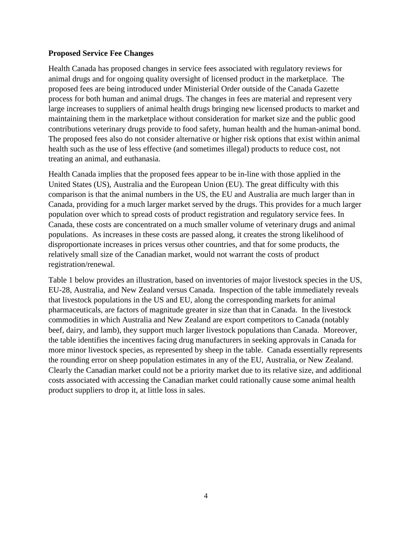#### **Proposed Service Fee Changes**

Health Canada has proposed changes in service fees associated with regulatory reviews for animal drugs and for ongoing quality oversight of licensed product in the marketplace. The proposed fees are being introduced under Ministerial Order outside of the Canada Gazette process for both human and animal drugs. The changes in fees are material and represent very large increases to suppliers of animal health drugs bringing new licensed products to market and maintaining them in the marketplace without consideration for market size and the public good contributions veterinary drugs provide to food safety, human health and the human-animal bond. The proposed fees also do not consider alternative or higher risk options that exist within animal health such as the use of less effective (and sometimes illegal) products to reduce cost, not treating an animal, and euthanasia.

Health Canada implies that the proposed fees appear to be in-line with those applied in the United States (US), Australia and the European Union (EU). The great difficulty with this comparison is that the animal numbers in the US, the EU and Australia are much larger than in Canada, providing for a much larger market served by the drugs. This provides for a much larger population over which to spread costs of product registration and regulatory service fees. In Canada, these costs are concentrated on a much smaller volume of veterinary drugs and animal populations. As increases in these costs are passed along, it creates the strong likelihood of disproportionate increases in prices versus other countries, and that for some products, the relatively small size of the Canadian market, would not warrant the costs of product registration/renewal.

Table 1 below provides an illustration, based on inventories of major livestock species in the US, EU-28, Australia, and New Zealand versus Canada. Inspection of the table immediately reveals that livestock populations in the US and EU, along the corresponding markets for animal pharmaceuticals, are factors of magnitude greater in size than that in Canada. In the livestock commodities in which Australia and New Zealand are export competitors to Canada (notably beef, dairy, and lamb), they support much larger livestock populations than Canada. Moreover, the table identifies the incentives facing drug manufacturers in seeking approvals in Canada for more minor livestock species, as represented by sheep in the table. Canada essentially represents the rounding error on sheep population estimates in any of the EU, Australia, or New Zealand. Clearly the Canadian market could not be a priority market due to its relative size, and additional costs associated with accessing the Canadian market could rationally cause some animal health product suppliers to drop it, at little loss in sales.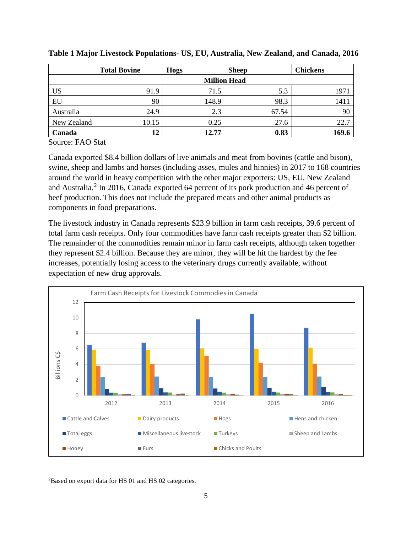|             | <b>Total Bovine</b> | <b>Hogs</b> | <b>Sheep</b> | <b>Chickens</b> |  |  |  |  |  |
|-------------|---------------------|-------------|--------------|-----------------|--|--|--|--|--|
|             | <b>Million Head</b> |             |              |                 |  |  |  |  |  |
| <b>US</b>   | 91.9                | 71.5        | 5.3          | 197             |  |  |  |  |  |
| EU          | 90                  | 148.9       | 98.3         | 141             |  |  |  |  |  |
| Australia   | 24.9                | 2.3         | 67.54        | 90              |  |  |  |  |  |
| New Zealand | 10.15               | 0.25        | 27.6         | 22.7            |  |  |  |  |  |
| Canada      | 12                  | 12.77       | 0.83         | 169.6           |  |  |  |  |  |

**Table 1 Major Livestock Populations- US, EU, Australia, New Zealand, and Canada, 2016**

Source: FAO Stat

Canada exported \$8.4 billion dollars of live animals and meat from bovines (cattle and bison), swine, sheep and lambs and horses (including asses, mules and hinnies) in 2017 to 168 countries around the world in heavy competition with the other major exporters: US, EU, New Zealand and Australia.<sup>[2](#page-4-0)</sup> In 2016, Canada exported 64 percent of its pork production and 46 percent of beef production. This does not include the prepared meats and other animal products as components in food preparations.

The livestock industry in Canada represents \$23.9 billion in farm cash receipts, 39.6 percent of total farm cash receipts. Only four commodities have farm cash receipts greater than \$2 billion. The remainder of the commodities remain minor in farm cash receipts, although taken together they represent \$2.4 billion. Because they are minor, they will be hit the hardest by the fee increases, potentially losing access to the veterinary drugs currently available, without expectation of new drug approvals.



<span id="page-4-0"></span>l <sup>2</sup>Based on export data for HS 01 and HS 02 categories.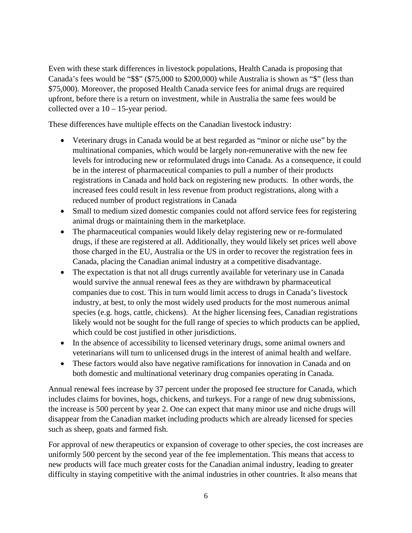Even with these stark differences in livestock populations, Health Canada is proposing that Canada's fees would be "\$\$" (\$75,000 to \$200,000) while Australia is shown as "\$" (less than \$75,000). Moreover, the proposed Health Canada service fees for animal drugs are required upfront, before there is a return on investment, while in Australia the same fees would be collected over a  $10 - 15$ -year period.

These differences have multiple effects on the Canadian livestock industry:

- Veterinary drugs in Canada would be at best regarded as "minor or niche use" by the multinational companies, which would be largely non-remunerative with the new fee levels for introducing new or reformulated drugs into Canada. As a consequence, it could be in the interest of pharmaceutical companies to pull a number of their products registrations in Canada and hold back on registering new products. In other words, the increased fees could result in less revenue from product registrations, along with a reduced number of product registrations in Canada
- Small to medium sized domestic companies could not afford service fees for registering animal drugs or maintaining them in the marketplace.
- The pharmaceutical companies would likely delay registering new or re-formulated drugs, if these are registered at all. Additionally, they would likely set prices well above those charged in the EU, Australia or the US in order to recover the registration fees in Canada, placing the Canadian animal industry at a competitive disadvantage.
- The expectation is that not all drugs currently available for veterinary use in Canada would survive the annual renewal fees as they are withdrawn by pharmaceutical companies due to cost. This in turn would limit access to drugs in Canada's livestock industry, at best, to only the most widely used products for the most numerous animal species (e.g. hogs, cattle, chickens). At the higher licensing fees, Canadian registrations likely would not be sought for the full range of species to which products can be applied, which could be cost justified in other jurisdictions.
- In the absence of accessibility to licensed veterinary drugs, some animal owners and veterinarians will turn to unlicensed drugs in the interest of animal health and welfare.
- These factors would also have negative ramifications for innovation in Canada and on both domestic and multinational veterinary drug companies operating in Canada.

Annual renewal fees increase by 37 percent under the proposed fee structure for Canada, which includes claims for bovines, hogs, chickens, and turkeys. For a range of new drug submissions, the increase is 500 percent by year 2. One can expect that many minor use and niche drugs will disappear from the Canadian market including products which are already licensed for species such as sheep, goats and farmed fish.

For approval of new therapeutics or expansion of coverage to other species, the cost increases are uniformly 500 percent by the second year of the fee implementation. This means that access to new products will face much greater costs for the Canadian animal industry, leading to greater difficulty in staying competitive with the animal industries in other countries. It also means that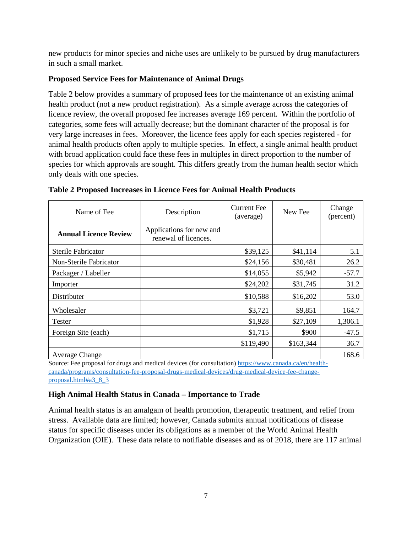new products for minor species and niche uses are unlikely to be pursued by drug manufacturers in such a small market.

#### **Proposed Service Fees for Maintenance of Animal Drugs**

Table 2 below provides a summary of proposed fees for the maintenance of an existing animal health product (not a new product registration). As a simple average across the categories of licence review, the overall proposed fee increases average 169 percent. Within the portfolio of categories, some fees will actually decrease; but the dominant character of the proposal is for very large increases in fees. Moreover, the licence fees apply for each species registered - for animal health products often apply to multiple species. In effect, a single animal health product with broad application could face these fees in multiples in direct proportion to the number of species for which approvals are sought. This differs greatly from the human health sector which only deals with one species.

| Name of Fee                  | Description                                      | <b>Current Fee</b><br>(average) | New Fee   | Change<br>(percent) |  |
|------------------------------|--------------------------------------------------|---------------------------------|-----------|---------------------|--|
| <b>Annual Licence Review</b> | Applications for new and<br>renewal of licences. |                                 |           |                     |  |
| Sterile Fabricator           |                                                  | \$39,125                        | \$41,114  | 5.1                 |  |
| Non-Sterile Fabricator       |                                                  | \$24,156                        | \$30,481  | 26.2                |  |
| Packager / Labeller          |                                                  | \$14,055                        | \$5,942   | $-57.7$             |  |
| Importer                     |                                                  | \$24,202                        | \$31,745  | 31.2                |  |
| Distributer                  |                                                  | \$10,588                        | \$16,202  | 53.0                |  |
| Wholesaler                   |                                                  | \$3,721                         | \$9,851   | 164.7               |  |
| Tester                       |                                                  | \$1,928                         | \$27,109  | 1,306.1             |  |
| Foreign Site (each)          |                                                  | \$1,715                         | \$900     | $-47.5$             |  |
|                              |                                                  | \$119,490                       | \$163,344 | 36.7                |  |
| <b>Average Change</b>        |                                                  |                                 |           | 168.6               |  |

|  | Table 2 Proposed Increases in Licence Fees for Animal Health Products |  |  |  |
|--|-----------------------------------------------------------------------|--|--|--|
|  |                                                                       |  |  |  |

Source: Fee proposal for drugs and medical devices (for consultation) [https://www.canada.ca/en/health](https://www.canada.ca/en/health-canada/programs/consultation-fee-proposal-drugs-medical-devices/drug-medical-device-fee-change-proposal.html#a3_8_3)[canada/programs/consultation-fee-proposal-drugs-medical-devices/drug-medical-device-fee-change](https://www.canada.ca/en/health-canada/programs/consultation-fee-proposal-drugs-medical-devices/drug-medical-device-fee-change-proposal.html#a3_8_3)[proposal.html#a3\\_8\\_3](https://www.canada.ca/en/health-canada/programs/consultation-fee-proposal-drugs-medical-devices/drug-medical-device-fee-change-proposal.html#a3_8_3)

# **High Animal Health Status in Canada – Importance to Trade**

Animal health status is an amalgam of health promotion, therapeutic treatment, and relief from stress. Available data are limited; however, Canada submits annual notifications of disease status for specific diseases under its obligations as a member of the World Animal Health Organization (OIE). These data relate to notifiable diseases and as of 2018, there are 117 animal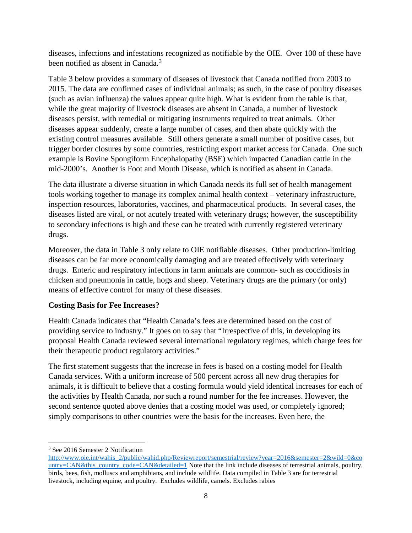diseases, infections and infestations recognized as notifiable by the OIE. Over 100 of these have been notified as absent in Canada.<sup>[3](#page-7-0)</sup>

Table 3 below provides a summary of diseases of livestock that Canada notified from 2003 to 2015. The data are confirmed cases of individual animals; as such, in the case of poultry diseases (such as avian influenza) the values appear quite high. What is evident from the table is that, while the great majority of livestock diseases are absent in Canada, a number of livestock diseases persist, with remedial or mitigating instruments required to treat animals. Other diseases appear suddenly, create a large number of cases, and then abate quickly with the existing control measures available. Still others generate a small number of positive cases, but trigger border closures by some countries, restricting export market access for Canada. One such example is Bovine Spongiform Encephalopathy (BSE) which impacted Canadian cattle in the mid-2000's. Another is Foot and Mouth Disease, which is notified as absent in Canada.

The data illustrate a diverse situation in which Canada needs its full set of health management tools working together to manage its complex animal health context – veterinary infrastructure, inspection resources, laboratories, vaccines, and pharmaceutical products. In several cases, the diseases listed are viral, or not acutely treated with veterinary drugs; however, the susceptibility to secondary infections is high and these can be treated with currently registered veterinary drugs.

Moreover, the data in Table 3 only relate to OIE notifiable diseases. Other production-limiting diseases can be far more economically damaging and are treated effectively with veterinary drugs. Enteric and respiratory infections in farm animals are common- such as coccidiosis in chicken and pneumonia in cattle, hogs and sheep. Veterinary drugs are the primary (or only) means of effective control for many of these diseases.

# **Costing Basis for Fee Increases?**

Health Canada indicates that "Health Canada's fees are determined based on the cost of providing service to industry." It goes on to say that "Irrespective of this, in developing its proposal Health Canada reviewed several international regulatory regimes, which charge fees for their therapeutic product regulatory activities."

The first statement suggests that the increase in fees is based on a costing model for Health Canada services. With a uniform increase of 500 percent across all new drug therapies for animals, it is difficult to believe that a costing formula would yield identical increases for each of the activities by Health Canada, nor such a round number for the fee increases. However, the second sentence quoted above denies that a costing model was used, or completely ignored; simply comparisons to other countries were the basis for the increases. Even here, the

 $\overline{\phantom{a}}$ 

<span id="page-7-0"></span><sup>&</sup>lt;sup>3</sup> See 2016 Semester 2 Notification

[http://www.oie.int/wahis\\_2/public/wahid.php/Reviewreport/semestrial/review?year=2016&semester=2&wild=0&co](http://www.oie.int/wahis_2/public/wahid.php/Reviewreport/semestrial/review?year=2016&semester=2&wild=0&country=CAN&this_country_code=CAN&detailed=1) [untry=CAN&this\\_country\\_code=CAN&detailed=1](http://www.oie.int/wahis_2/public/wahid.php/Reviewreport/semestrial/review?year=2016&semester=2&wild=0&country=CAN&this_country_code=CAN&detailed=1) Note that the link include diseases of terrestrial animals, poultry, birds, bees, fish, molluscs and amphibians, and include wildlife. Data compiled in Table 3 are for terrestrial livestock, including equine, and poultry. Excludes wildlife, camels. Excludes rabies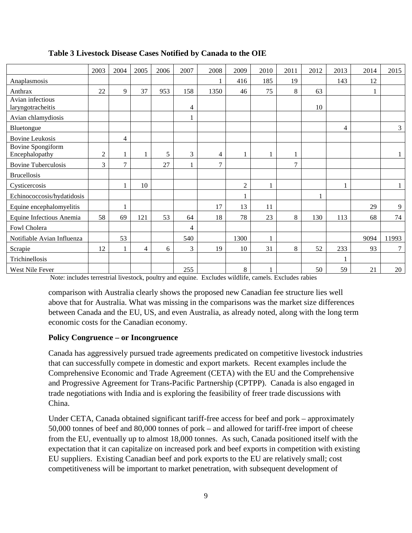|                                            | 2003           | 2004           | 2005 | 2006 | 2007 | 2008           | 2009           | 2010 | 2011           | 2012 | 2013 | 2014 | 2015         |
|--------------------------------------------|----------------|----------------|------|------|------|----------------|----------------|------|----------------|------|------|------|--------------|
| Anaplasmosis                               |                |                |      |      |      |                | 416            | 185  | 19             |      | 143  | 12   |              |
| Anthrax                                    | 22             | 9              | 37   | 953  | 158  | 1350           | 46             | 75   | 8              | 63   |      |      |              |
| Avian infectious<br>laryngotracheitis      |                |                |      |      | 4    |                |                |      |                | 10   |      |      |              |
| Avian chlamydiosis                         |                |                |      |      |      |                |                |      |                |      |      |      |              |
| Bluetongue                                 |                |                |      |      |      |                |                |      |                |      | 4    |      | 3            |
| <b>Bovine Leukosis</b>                     |                | 4              |      |      |      |                |                |      |                |      |      |      |              |
| <b>Bovine Spongiform</b><br>Encephalopathy | $\overline{c}$ | 1              |      | 5    | 3    | $\overline{4}$ |                |      | 1              |      |      |      | $\mathbf{1}$ |
| <b>Bovine Tuberculosis</b>                 | 3              | $\overline{7}$ |      | 27   |      | $\tau$         |                |      | $\overline{7}$ |      |      |      |              |
| <b>Brucellosis</b>                         |                |                |      |      |      |                |                |      |                |      |      |      |              |
| Cysticercosis                              |                |                | 10   |      |      |                | $\mathfrak{2}$ |      |                |      |      |      | $\mathbf{1}$ |
| Echinococcosis/hydatidosis                 |                |                |      |      |      |                |                |      |                |      |      |      |              |
| Equine encephalomyelitis                   |                |                |      |      |      | 17             | 13             | 11   |                |      |      | 29   | 9            |
| Equine Infectious Anemia                   | 58             | 69             | 121  | 53   | 64   | 18             | 78             | 23   | 8              | 130  | 113  | 68   | 74           |
| Fowl Cholera                               |                |                |      |      | 4    |                |                |      |                |      |      |      |              |
| Notifiable Avian Influenza                 |                | 53             |      |      | 540  |                | 1300           |      |                |      |      | 9094 | 11993        |
| Scrapie                                    | 12             |                | 4    | 6    | 3    | 19             | 10             | 31   | 8              | 52   | 233  | 93   | 7            |
| Trichinellosis                             |                |                |      |      |      |                |                |      |                |      |      |      |              |
| West Nile Fever                            |                |                |      |      | 255  |                | 8              |      |                | 50   | 59   | 21   | 20           |

#### **Table 3 Livestock Disease Cases Notified by Canada to the OIE**

Note: includes terrestrial livestock, poultry and equine. Excludes wildlife, camels. Excludes rabies

comparison with Australia clearly shows the proposed new Canadian fee structure lies well above that for Australia. What was missing in the comparisons was the market size differences between Canada and the EU, US, and even Australia, as already noted, along with the long term economic costs for the Canadian economy.

#### **Policy Congruence – or Incongruence**

Canada has aggressively pursued trade agreements predicated on competitive livestock industries that can successfully compete in domestic and export markets. Recent examples include the Comprehensive Economic and Trade Agreement (CETA) with the EU and the Comprehensive and Progressive Agreement for Trans-Pacific Partnership (CPTPP). Canada is also engaged in trade negotiations with India and is exploring the feasibility of freer trade discussions with China.

Under CETA, Canada obtained significant tariff-free access for beef and pork – approximately 50,000 tonnes of beef and 80,000 tonnes of pork – and allowed for tariff-free import of cheese from the EU, eventually up to almost 18,000 tonnes. As such, Canada positioned itself with the expectation that it can capitalize on increased pork and beef exports in competition with existing EU suppliers. Existing Canadian beef and pork exports to the EU are relatively small; cost competitiveness will be important to market penetration, with subsequent development of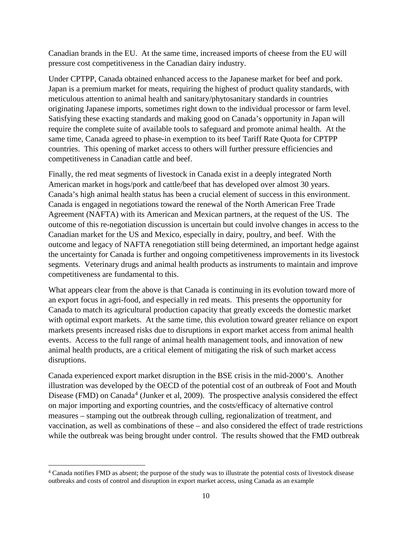Canadian brands in the EU. At the same time, increased imports of cheese from the EU will pressure cost competitiveness in the Canadian dairy industry.

Under CPTPP, Canada obtained enhanced access to the Japanese market for beef and pork. Japan is a premium market for meats, requiring the highest of product quality standards, with meticulous attention to animal health and sanitary/phytosanitary standards in countries originating Japanese imports, sometimes right down to the individual processor or farm level. Satisfying these exacting standards and making good on Canada's opportunity in Japan will require the complete suite of available tools to safeguard and promote animal health. At the same time, Canada agreed to phase-in exemption to its beef Tariff Rate Quota for CPTPP countries. This opening of market access to others will further pressure efficiencies and competitiveness in Canadian cattle and beef.

Finally, the red meat segments of livestock in Canada exist in a deeply integrated North American market in hogs/pork and cattle/beef that has developed over almost 30 years. Canada's high animal health status has been a crucial element of success in this environment. Canada is engaged in negotiations toward the renewal of the North American Free Trade Agreement (NAFTA) with its American and Mexican partners, at the request of the US. The outcome of this re-negotiation discussion is uncertain but could involve changes in access to the Canadian market for the US and Mexico, especially in dairy, poultry, and beef. With the outcome and legacy of NAFTA renegotiation still being determined, an important hedge against the uncertainty for Canada is further and ongoing competitiveness improvements in its livestock segments. Veterinary drugs and animal health products as instruments to maintain and improve competitiveness are fundamental to this.

What appears clear from the above is that Canada is continuing in its evolution toward more of an export focus in agri-food, and especially in red meats. This presents the opportunity for Canada to match its agricultural production capacity that greatly exceeds the domestic market with optimal export markets. At the same time, this evolution toward greater reliance on export markets presents increased risks due to disruptions in export market access from animal health events. Access to the full range of animal health management tools, and innovation of new animal health products, are a critical element of mitigating the risk of such market access disruptions.

Canada experienced export market disruption in the BSE crisis in the mid-2000's. Another illustration was developed by the OECD of the potential cost of an outbreak of Foot and Mouth Disease (FMD) on Canada<sup>[4](#page-9-0)</sup> (Junker et al, 2009). The prospective analysis considered the effect on major importing and exporting countries, and the costs/efficacy of alternative control measures – stamping out the outbreak through culling, regionalization of treatment, and vaccination, as well as combinations of these – and also considered the effect of trade restrictions while the outbreak was being brought under control. The results showed that the FMD outbreak

l

<span id="page-9-0"></span><sup>4</sup> Canada notifies FMD as absent; the purpose of the study was to illustrate the potential costs of livestock disease outbreaks and costs of control and disruption in export market access, using Canada as an example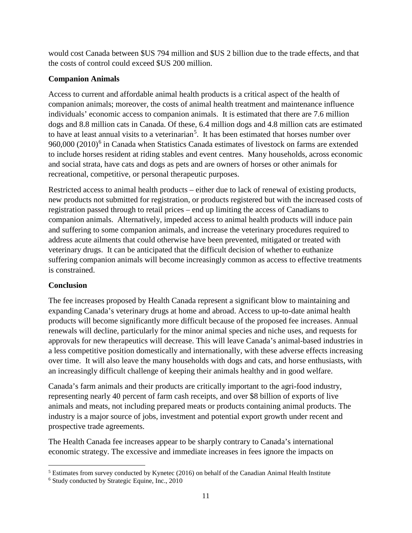would cost Canada between \$US 794 million and \$US 2 billion due to the trade effects, and that the costs of control could exceed \$US 200 million.

# **Companion Animals**

Access to current and affordable animal health products is a critical aspect of the health of companion animals; moreover, the costs of animal health treatment and maintenance influence individuals' economic access to companion animals. It is estimated that there are 7.6 million dogs and 8.8 million cats in Canada. Of these, 6.4 million dogs and 4.8 million cats are estimated to have at least annual visits to a veterinarian<sup>[5](#page-10-0)</sup>. It has been estimated that horses number over 9[6](#page-10-1)0,000 (2010)<sup>6</sup> in Canada when Statistics Canada estimates of livestock on farms are extended to include horses resident at riding stables and event centres. Many households, across economic and social strata, have cats and dogs as pets and are owners of horses or other animals for recreational, competitive, or personal therapeutic purposes.

Restricted access to animal health products – either due to lack of renewal of existing products, new products not submitted for registration, or products registered but with the increased costs of registration passed through to retail prices – end up limiting the access of Canadians to companion animals. Alternatively, impeded access to animal health products will induce pain and suffering to some companion animals, and increase the veterinary procedures required to address acute ailments that could otherwise have been prevented, mitigated or treated with veterinary drugs. It can be anticipated that the difficult decision of whether to euthanize suffering companion animals will become increasingly common as access to effective treatments is constrained.

# **Conclusion**

l

The fee increases proposed by Health Canada represent a significant blow to maintaining and expanding Canada's veterinary drugs at home and abroad. Access to up-to-date animal health products will become significantly more difficult because of the proposed fee increases. Annual renewals will decline, particularly for the minor animal species and niche uses, and requests for approvals for new therapeutics will decrease. This will leave Canada's animal-based industries in a less competitive position domestically and internationally, with these adverse effects increasing over time. It will also leave the many households with dogs and cats, and horse enthusiasts, with an increasingly difficult challenge of keeping their animals healthy and in good welfare.

Canada's farm animals and their products are critically important to the agri-food industry, representing nearly 40 percent of farm cash receipts, and over \$8 billion of exports of live animals and meats, not including prepared meats or products containing animal products. The industry is a major source of jobs, investment and potential export growth under recent and prospective trade agreements.

The Health Canada fee increases appear to be sharply contrary to Canada's international economic strategy. The excessive and immediate increases in fees ignore the impacts on

<span id="page-10-0"></span><sup>&</sup>lt;sup>5</sup> Estimates from survey conducted by Kynetec (2016) on behalf of the Canadian Animal Health Institute

<span id="page-10-1"></span><sup>6</sup> Study conducted by Strategic Equine, Inc., 2010